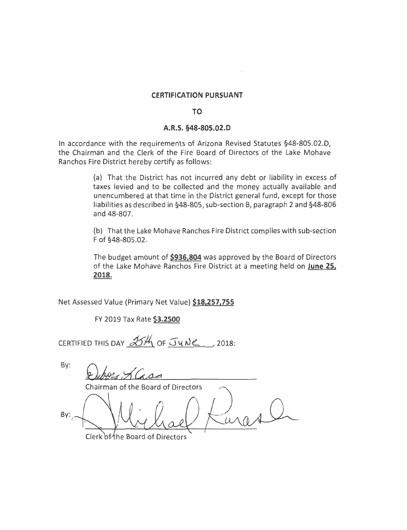#### **CERTIFICATION PURSUANT**

### **TO**

#### **A.R.S. §48-805.02.D**

In accordance with the requirements of Arizona Revised Statutes §48-805.02.D, the Chairman and the Clerk of the Fire Board of Directors of the Lake Mohave Ranchos Fire District hereby certify as follows:

> (a) That the District has not incurred any debt or liability in excess of taxes levied and to be collected and the money actually available and unencumbered at that time in the District general fund, except for those liabilities as described in §48-805, sub-section B, paragraph 2 and §48-806 and 48-807.

> (b) That the Lake Mohave Ranchos Fire District complies with sub-section F of §48-805.02.

> The budget amount of **\$936,804** was approved by the Board of Directors of the Lake Mohave Ranchos Fire District at a meeting held on **June 25, 2018.**

Net Assessed Value (Primary Net Value) **\$18,257,755** 

FY 2019 Tax Rate **\$3.2500** 

CERTIFIED THIS DAY  $X'$  of  $J$ w $\vee$ ., 2018:

By: Chairman of the Board of Directors By:

Clerk of the Board of Directors